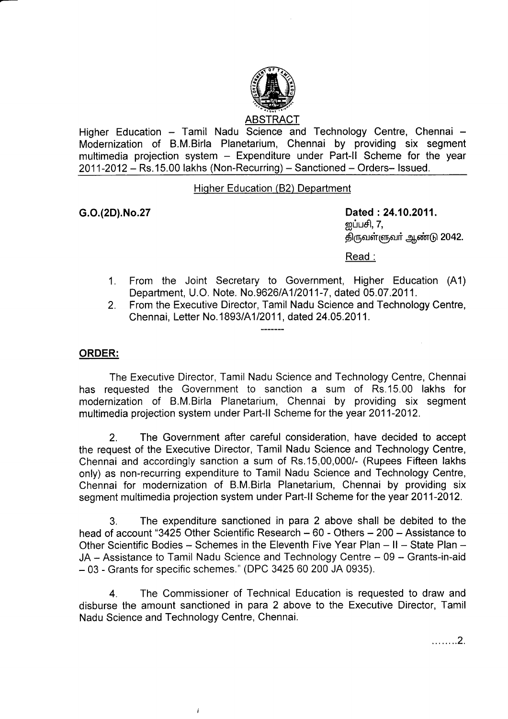

Higher Education - Tamil Nadu Science and Technology Centre, Chennai -Modernization of B.M.Birla Planetarium, Chennai by providing six segment multimedia projection system - Expenditure under Part-II Scheme for the year  $2011-2012 -$  Rs.15.00 lakhs (Non-Recurring) - Sanctioned - Orders- Issued.

## Hiqher Education (82) Department

G.O.(2D).No.27 Dated :24.10.2011. றப்பசி,  $7$ , திருவள்ளுவா் ஆண்டு 2042.

Read :

- 1. From the Joint Secretary to Government, Higher Education (A1) Department, U.O. Note. No.9626/A112011-7, dated 05.07 .2011.
- 2. From the Executive Director, Tamil Nadu Science and Technology Centre, Chennai, Letter No. 1893/A1/2011, dated 24.05.2011.

## ORDER:

The Executive Director, Tamil Nadu Science and Technology Centre, Chennai has requested the Government to sanction a sum of Rs.15.00 lakhs for modernization of B.M.Birla Planetarium, Chennai by providing six segment multimedia projection system under Part-ll Scheme for the year 2011-2012.

2. The Government after careful consideration, have decided to accept the request of the Executive Director, Tamil Nadu Science and Technology Centre, Chennai and accordingly sanction a sum of Rs.15,00,000/- (Rupees Fifteen lakhs only) as non-recurring expenditure to Tamil Nadu Science and Technology Centre, Chennai for modernization of B.M.Birla Planetarium, Chennai by providing six segment multimedia projection system under Part-ll Scheme for the year 2011-2012.

3. The expenditure sanctioned in para 2 above shall be debited to the head of account "3425 Other Scientific Research - 60 - Others - 200 - Assistance to Other Scientific Bodies - Schemes in the Eleventh Five Year Plan - II - State Plan -JA - Assistance to Tamil Nadu Science and Technology Centre - 09 - Grants-in-aid - 03 - Grants for specific schemes." (DPC 3425 60 200 JA 0935).

4. The Commissioner of Technical Education is requested to draw and disburse the amount sanctioned in para 2 above to the Executive Director, Tamil Nadu Science and Technology Centre, Chennai.

 $\overline{1}$ 

. . . . . . . . 2.